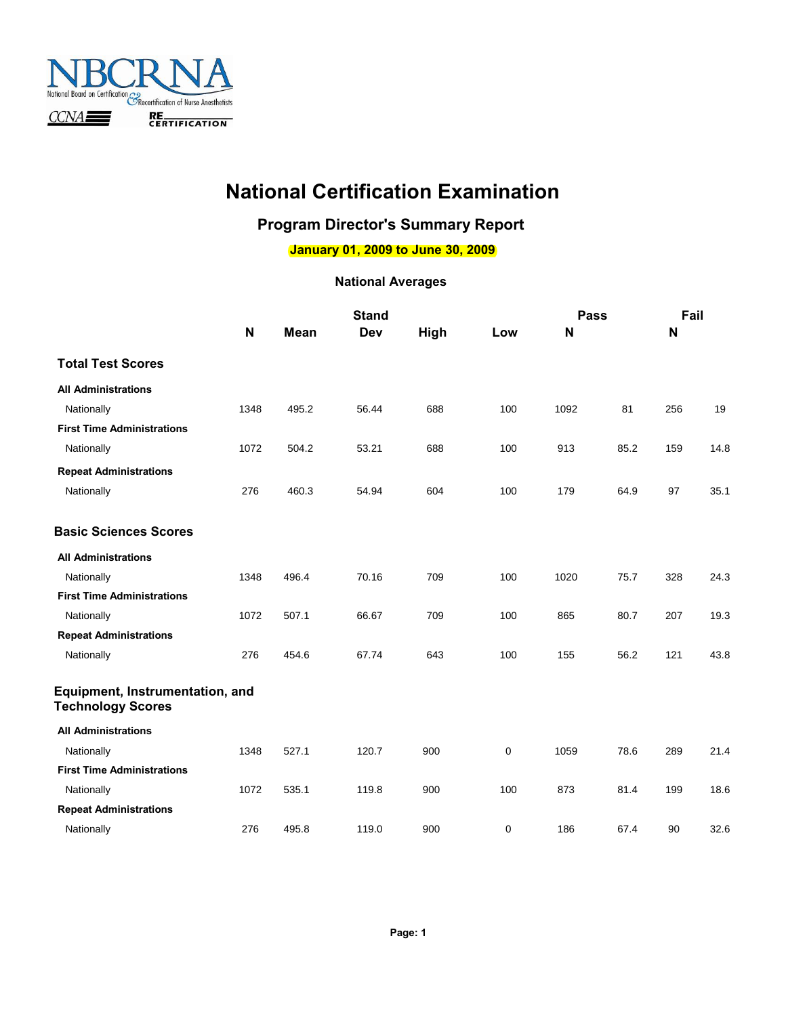

## **National Certification Examination**

## **Program Director's Summary Report**

**January 01, 2009 to June 30, 2009**

|                                                             |             |             | <b>Stand</b> |      |     | <b>Pass</b> |      | Fail |      |
|-------------------------------------------------------------|-------------|-------------|--------------|------|-----|-------------|------|------|------|
|                                                             | $\mathbf N$ | <b>Mean</b> | Dev          | High | Low | N           |      | N    |      |
| <b>Total Test Scores</b>                                    |             |             |              |      |     |             |      |      |      |
| <b>All Administrations</b>                                  |             |             |              |      |     |             |      |      |      |
| Nationally                                                  | 1348        | 495.2       | 56.44        | 688  | 100 | 1092        | 81   | 256  | 19   |
| <b>First Time Administrations</b>                           |             |             |              |      |     |             |      |      |      |
| Nationally                                                  | 1072        | 504.2       | 53.21        | 688  | 100 | 913         | 85.2 | 159  | 14.8 |
| <b>Repeat Administrations</b>                               |             |             |              |      |     |             |      |      |      |
| Nationally                                                  | 276         | 460.3       | 54.94        | 604  | 100 | 179         | 64.9 | 97   | 35.1 |
| <b>Basic Sciences Scores</b>                                |             |             |              |      |     |             |      |      |      |
| <b>All Administrations</b>                                  |             |             |              |      |     |             |      |      |      |
| Nationally                                                  | 1348        | 496.4       | 70.16        | 709  | 100 | 1020        | 75.7 | 328  | 24.3 |
| <b>First Time Administrations</b>                           |             |             |              |      |     |             |      |      |      |
| Nationally                                                  | 1072        | 507.1       | 66.67        | 709  | 100 | 865         | 80.7 | 207  | 19.3 |
| <b>Repeat Administrations</b>                               |             |             |              |      |     |             |      |      |      |
| Nationally                                                  | 276         | 454.6       | 67.74        | 643  | 100 | 155         | 56.2 | 121  | 43.8 |
| Equipment, Instrumentation, and<br><b>Technology Scores</b> |             |             |              |      |     |             |      |      |      |
| <b>All Administrations</b>                                  |             |             |              |      |     |             |      |      |      |
| Nationally                                                  | 1348        | 527.1       | 120.7        | 900  | 0   | 1059        | 78.6 | 289  | 21.4 |
| <b>First Time Administrations</b>                           |             |             |              |      |     |             |      |      |      |
| Nationally                                                  | 1072        | 535.1       | 119.8        | 900  | 100 | 873         | 81.4 | 199  | 18.6 |
| <b>Repeat Administrations</b>                               |             |             |              |      |     |             |      |      |      |
| Nationally                                                  | 276         | 495.8       | 119.0        | 900  | 0   | 186         | 67.4 | 90   | 32.6 |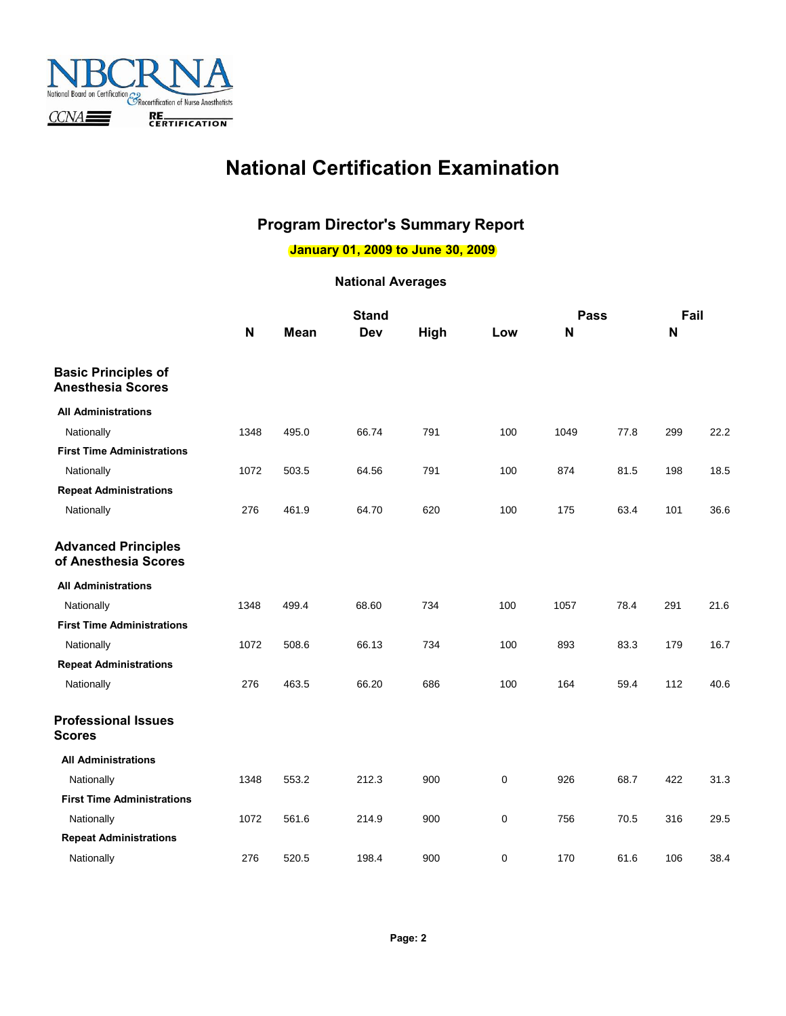

## **National Certification Examination**

### **Program Director's Summary Report**

**January 01, 2009 to June 30, 2009**

|                                                        |              | <b>Stand</b> |       |      | Pass |      | Fail |              |      |
|--------------------------------------------------------|--------------|--------------|-------|------|------|------|------|--------------|------|
|                                                        | $\mathsf{N}$ | <b>Mean</b>  | Dev   | High | Low  | N    |      | $\mathsf{N}$ |      |
| <b>Basic Principles of</b><br><b>Anesthesia Scores</b> |              |              |       |      |      |      |      |              |      |
| <b>All Administrations</b>                             |              |              |       |      |      |      |      |              |      |
| Nationally                                             | 1348         | 495.0        | 66.74 | 791  | 100  | 1049 | 77.8 | 299          | 22.2 |
| <b>First Time Administrations</b>                      |              |              |       |      |      |      |      |              |      |
| Nationally                                             | 1072         | 503.5        | 64.56 | 791  | 100  | 874  | 81.5 | 198          | 18.5 |
| <b>Repeat Administrations</b>                          |              |              |       |      |      |      |      |              |      |
| Nationally                                             | 276          | 461.9        | 64.70 | 620  | 100  | 175  | 63.4 | 101          | 36.6 |
| <b>Advanced Principles</b><br>of Anesthesia Scores     |              |              |       |      |      |      |      |              |      |
| <b>All Administrations</b>                             |              |              |       |      |      |      |      |              |      |
| Nationally                                             | 1348         | 499.4        | 68.60 | 734  | 100  | 1057 | 78.4 | 291          | 21.6 |
| <b>First Time Administrations</b>                      |              |              |       |      |      |      |      |              |      |
| Nationally                                             | 1072         | 508.6        | 66.13 | 734  | 100  | 893  | 83.3 | 179          | 16.7 |
| <b>Repeat Administrations</b>                          |              |              |       |      |      |      |      |              |      |
| Nationally                                             | 276          | 463.5        | 66.20 | 686  | 100  | 164  | 59.4 | 112          | 40.6 |
| <b>Professional Issues</b><br><b>Scores</b>            |              |              |       |      |      |      |      |              |      |
| <b>All Administrations</b>                             |              |              |       |      |      |      |      |              |      |
| Nationally                                             | 1348         | 553.2        | 212.3 | 900  | 0    | 926  | 68.7 | 422          | 31.3 |
| <b>First Time Administrations</b>                      |              |              |       |      |      |      |      |              |      |
| Nationally                                             | 1072         | 561.6        | 214.9 | 900  | 0    | 756  | 70.5 | 316          | 29.5 |
| <b>Repeat Administrations</b>                          |              |              |       |      |      |      |      |              |      |
| Nationally                                             | 276          | 520.5        | 198.4 | 900  | 0    | 170  | 61.6 | 106          | 38.4 |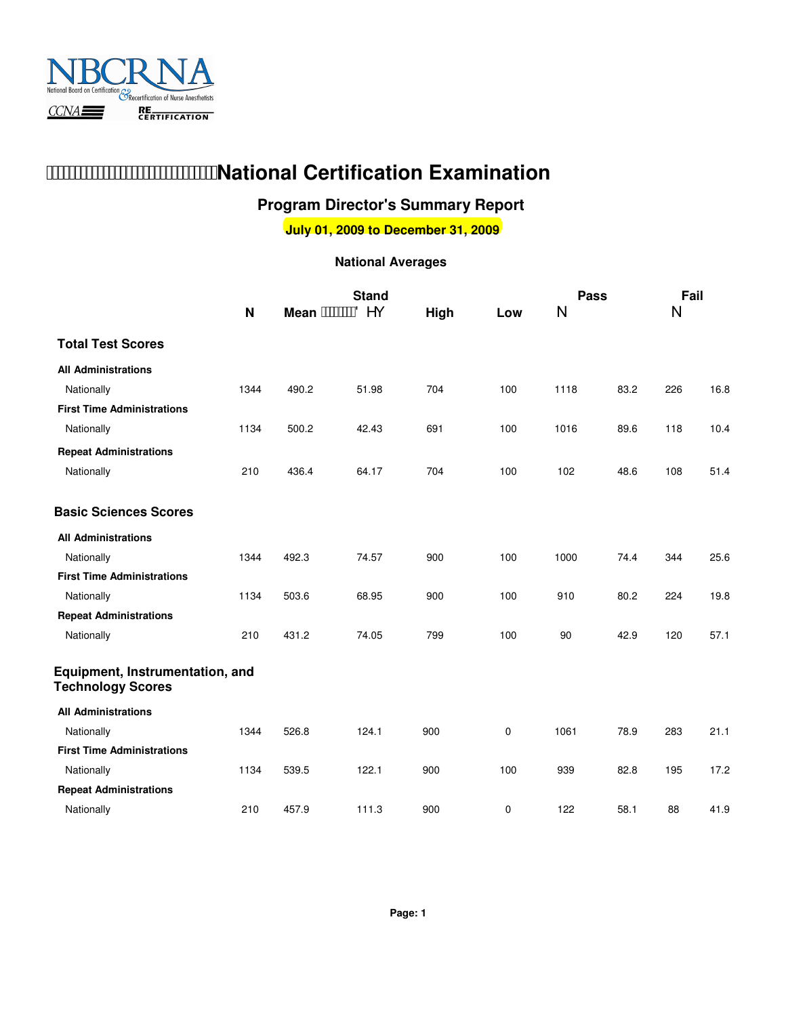

## **Mational Certification Examination**

### **Program Director's Summary Report**

**July 01, 2009 to December 31, 2009**

|                                                             |              | <b>Stand</b>              |       |      | <b>Pass</b> |      | Fail |     |      |
|-------------------------------------------------------------|--------------|---------------------------|-------|------|-------------|------|------|-----|------|
|                                                             | $\mathsf{N}$ | Mean AWWWO <sup>^</sup> C |       | High | Low         | N    |      | N   |      |
| <b>Total Test Scores</b>                                    |              |                           |       |      |             |      |      |     |      |
| <b>All Administrations</b>                                  |              |                           |       |      |             |      |      |     |      |
| Nationally                                                  | 1344         | 490.2                     | 51.98 | 704  | 100         | 1118 | 83.2 | 226 | 16.8 |
| <b>First Time Administrations</b>                           |              |                           |       |      |             |      |      |     |      |
| Nationally                                                  | 1134         | 500.2                     | 42.43 | 691  | 100         | 1016 | 89.6 | 118 | 10.4 |
| <b>Repeat Administrations</b>                               |              |                           |       |      |             |      |      |     |      |
| Nationally                                                  | 210          | 436.4                     | 64.17 | 704  | 100         | 102  | 48.6 | 108 | 51.4 |
| <b>Basic Sciences Scores</b>                                |              |                           |       |      |             |      |      |     |      |
| <b>All Administrations</b>                                  |              |                           |       |      |             |      |      |     |      |
| Nationally                                                  | 1344         | 492.3                     | 74.57 | 900  | 100         | 1000 | 74.4 | 344 | 25.6 |
| <b>First Time Administrations</b>                           |              |                           |       |      |             |      |      |     |      |
| Nationally                                                  | 1134         | 503.6                     | 68.95 | 900  | 100         | 910  | 80.2 | 224 | 19.8 |
| <b>Repeat Administrations</b>                               |              |                           |       |      |             |      |      |     |      |
| Nationally                                                  | 210          | 431.2                     | 74.05 | 799  | 100         | 90   | 42.9 | 120 | 57.1 |
| Equipment, Instrumentation, and<br><b>Technology Scores</b> |              |                           |       |      |             |      |      |     |      |
| <b>All Administrations</b>                                  |              |                           |       |      |             |      |      |     |      |
| Nationally                                                  | 1344         | 526.8                     | 124.1 | 900  | 0           | 1061 | 78.9 | 283 | 21.1 |
| <b>First Time Administrations</b>                           |              |                           |       |      |             |      |      |     |      |
| Nationally                                                  | 1134         | 539.5                     | 122.1 | 900  | 100         | 939  | 82.8 | 195 | 17.2 |
| <b>Repeat Administrations</b>                               |              |                           |       |      |             |      |      |     |      |
| Nationally                                                  | 210          | 457.9                     | 111.3 | 900  | 0           | 122  | 58.1 | 88  | 41.9 |